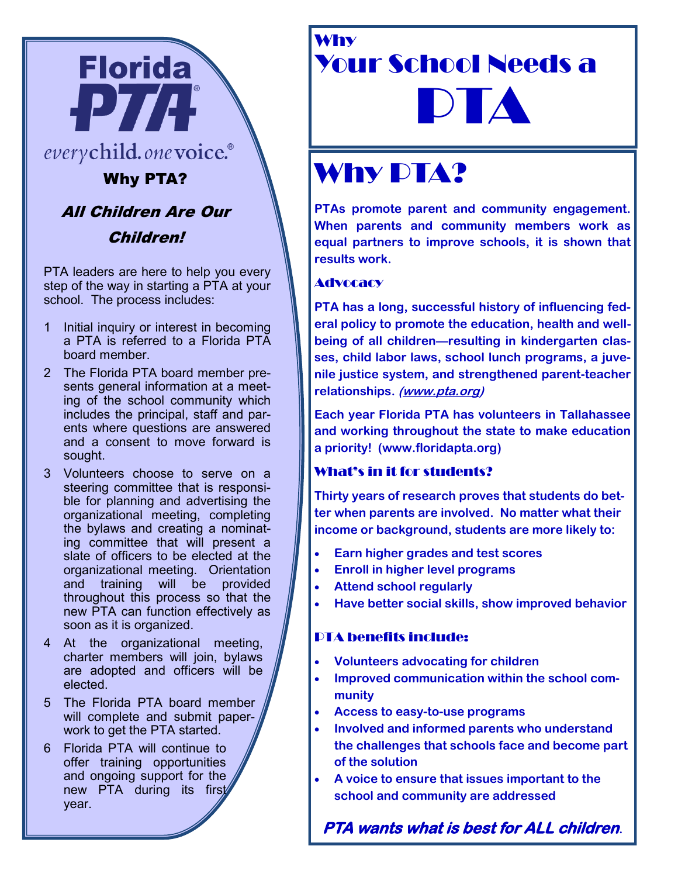

### everychild.onevoice.®

Why PTA?

## All Children Are Our

Children!

PTA leaders are here to help you every step of the way in starting a PTA at your school. The process includes:

- 1 Initial inquiry or interest in becoming a PTA is referred to a Florida PTA board member.
- 2 The Florida PTA board member presents general information at a meeting of the school community which includes the principal, staff and parents where questions are answered and a consent to move forward is sought.
- 3 Volunteers choose to serve on a steering committee that is responsible for planning and advertising the organizational meeting, completing the bylaws and creating a nominating committee that will present a slate of officers to be elected at the organizational meeting. Orientation and training will be provided throughout this process so that the new PTA can function effectively as soon as it is organized.
- 4 At the organizational meeting, charter members will join, bylaws are adopted and officers will be elected.
- 5 The Florida PTA board member will complete and submit paperwork to get the PTA started.
- 6 Florida PTA will continue to offer training opportunities and ongoing support for the new PTA during its first year.

### Why Your School Needs a DIA

# Why **PTA?**

**PTAs promote parent and community engagement. When parents and community members work as equal partners to improve schools, it is shown that results work.**

#### Advocacy

**PTA has a long, successful history of influencing federal policy to promote the education, health and wellbeing of all children—resulting in kindergarten classes, child labor laws, school lunch programs, a juvenile justice system, and strengthened parent-teacher relationships. [\(www.pta.org\)](http://www.pta.org)**

**Each year Florida PTA has volunteers in Tallahassee and working throughout the state to make education a priority! (www.floridapta.org)** 

#### What's in it for students?

**Thirty years of research proves that students do better when parents are involved. No matter what their income or background, students are more likely to:**

- **Earn higher grades and test scores**
- **Enroll in higher level programs**
- **Attend school regularly**
- **Have better social skills, show improved behavior**

#### PTA benefits include:

- **Volunteers advocating for children**
- **Improved communication within the school community**
- **Access to easy-to-use programs**
- **Involved and informed parents who understand the challenges that schools face and become part of the solution**
- **A voice to ensure that issues important to the school and community are addressed**

**PTA wants what is best for ALL children.**